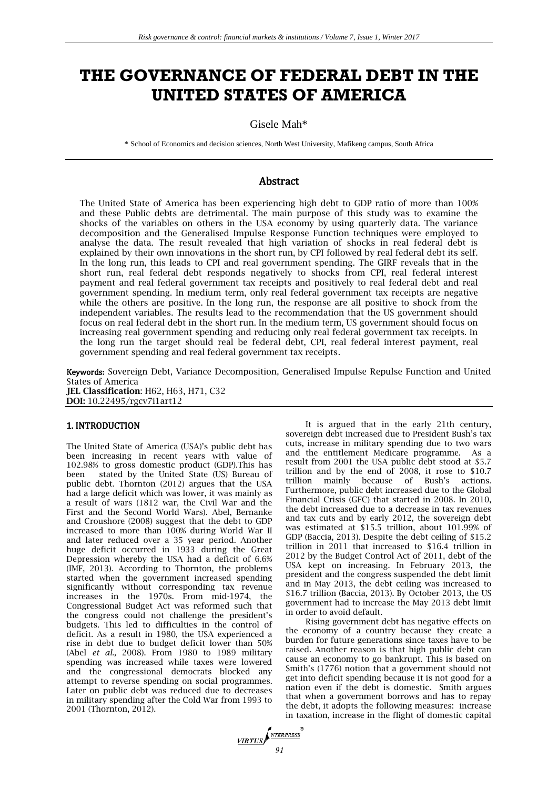# **THE GOVERNANCE OF FEDERAL DEBT IN THE UNITED STATES OF AMERICA**

Gisele Mah\*

\* School of Economics and decision sciences, North West University, Mafikeng campus, South Africa

# Abstract

The United State of America has been experiencing high debt to GDP ratio of more than 100% and these Public debts are detrimental. The main purpose of this study was to examine the shocks of the variables on others in the USA economy by using quarterly data. The variance decomposition and the Generalised Impulse Response Function techniques were employed to analyse the data. The result revealed that high variation of shocks in real federal debt is explained by their own innovations in the short run, by CPI followed by real federal debt its self. In the long run, this leads to CPI and real government spending. The GIRF reveals that in the short run, real federal debt responds negatively to shocks from CPI, real federal interest payment and real federal government tax receipts and positively to real federal debt and real government spending. In medium term, only real federal government tax receipts are negative while the others are positive. In the long run, the response are all positive to shock from the independent variables. The results lead to the recommendation that the US government should focus on real federal debt in the short run. In the medium term, US government should focus on increasing real government spending and reducing only real federal government tax receipts. In the long run the target should real be federal debt, CPI, real federal interest payment, real government spending and real federal government tax receipts.

Keywords: Sovereign Debt, Variance Decomposition, Generalised Impulse Repulse Function and United States of America **JEL Classification**: H62, H63, H71, C32 **DOI:** 10.22495/rgcv7i1art12

## 1. INTRODUCTION

The United State of America (USA)'s public debt has been increasing in recent years with value of 102.98% to gross domestic product (GDP).This has been stated by the United State (US) Bureau of public debt. Thornton (2012) argues that the USA had a large deficit which was lower, it was mainly as a result of wars (1812 war, the Civil War and the First and the Second World Wars). Abel, Bernanke and Croushore (2008) suggest that the debt to GDP increased to more than 100% during World War II and later reduced over a 35 year period. Another huge deficit occurred in 1933 during the Great Depression whereby the USA had a deficit of 6.6% (IMF, 2013). According to Thornton, the problems started when the government increased spending significantly without corresponding tax revenue increases in the 1970s. From mid-1974, the Congressional Budget Act was reformed such that the congress could not challenge the president's budgets. This led to difficulties in the control of deficit. As a result in 1980, the USA experienced a rise in debt due to budget deficit lower than 50% (Abel *et al.,* 2008). From 1980 to 1989 military spending was increased while taxes were lowered and the congressional democrats blocked any attempt to reverse spending on social programmes. Later on public debt was reduced due to decreases in military spending after the Cold War from 1993 to 2001 (Thornton, 2012).

It is argued that in the early 21th century, sovereign debt increased due to President Bush's tax cuts, increase in military spending due to two wars and the entitlement Medicare programme. As a result from 2001 the USA public debt stood at \$5.7 trillion and by the end of 2008, it rose to \$10.7 trillion mainly because of Bush's actions. Furthermore, public debt increased due to the Global Financial Crisis (GFC) that started in 2008. In 2010, the debt increased due to a decrease in tax revenues and tax cuts and by early 2012, the sovereign debt was estimated at \$15.5 trillion, about 101.99% of GDP (Baccia, 2013). Despite the debt ceiling of \$15.2 trillion in 2011 that increased to \$16.4 trillion in 2012 by the Budget Control Act of 2011, debt of the USA kept on increasing. In February 2013, the president and the congress suspended the debt limit and in May 2013, the debt ceiling was increased to \$16.7 trillion (Baccia, 2013). By October 2013, the US government had to increase the May 2013 debt limit in order to avoid default.

Rising government debt has negative effects on the economy of a country because they create a burden for future generations since taxes have to be raised. Another reason is that high public debt can cause an economy to go bankrupt. This is based on Smith's (1776) notion that a government should not get into deficit spending because it is not good for a nation even if the debt is domestic. Smith argues that when a government borrows and has to repay the debt, it adopts the following measures: increase in taxation, increase in the flight of domestic capital

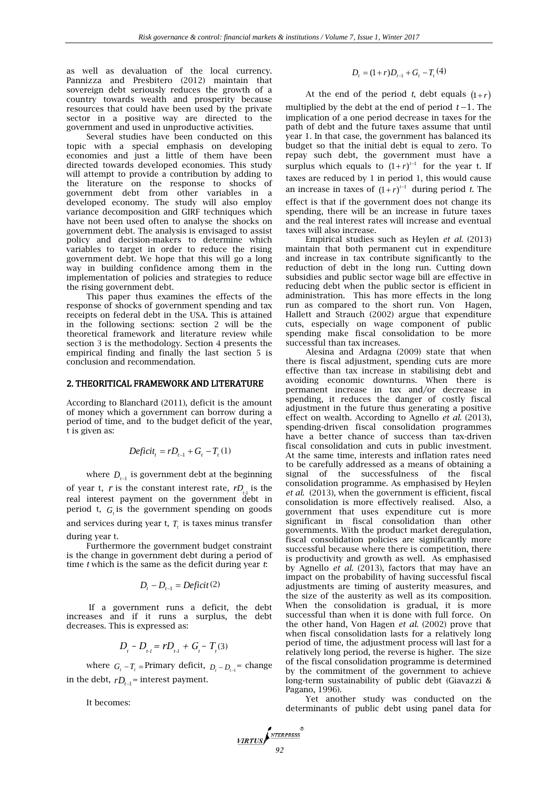as well as devaluation of the local currency. Pannizza and Presbitero (2012) maintain that sovereign debt seriously reduces the growth of a country towards wealth and prosperity because resources that could have been used by the private sector in a positive way are directed to the government and used in unproductive activities.

Several studies have been conducted on this topic with a special emphasis on developing economies and just a little of them have been directed towards developed economies. This study will attempt to provide a contribution by adding to the literature on the response to shocks of government debt from other variables in a developed economy. The study will also employ variance decomposition and GIRF techniques which have not been used often to analyse the shocks on government debt. The analysis is envisaged to assist policy and decision-makers to determine which variables to target in order to reduce the rising government debt. We hope that this will go a long way in building confidence among them in the implementation of policies and strategies to reduce the rising government debt.

This paper thus examines the effects of the response of shocks of government spending and tax receipts on federal debt in the USA. This is attained in the following sections: section 2 will be the theoretical framework and literature review while section 3 is the methodology. Section 4 presents the empirical finding and finally the last section 5 is conclusion and recommendation.

#### 2. THEORITICAL FRAMEWORK AND LITERATURE

According to Blanchard (2011), deficit is the amount of money which a government can borrow during a period of time, and to the budget deficit of the year, t is given as:

$$
Deficit_{t} = rD_{t-1} + G_{t} - T_{t}(1)
$$

where  $D_{t-1}$  is government debt at the beginning of year t,  $r$  is the constant interest rate,  $rD_{n}$  is the real interest payment on the government debt in period t,  $G<sub>t</sub>$  is the government spending on goods and services during year t,  $T<sub>t</sub>$  is taxes minus transfer

during year t.

Furthermore the government budget constraint is the change in government debt during a period of time *t* which is the same as the deficit during year *t*:

$$
D_t - D_{t-1} = Deficit(2)
$$

If a government runs a deficit, the debt increases and if it runs a surplus, the debt decreases. This is expressed as:

$$
D_{t} - D_{t} = rD_{t} + G_{t} - T_{t}(3)
$$

where  $G_t - T_t$  = Primary deficit,  $D_t - D_{t-1}$  = change in the debt,  $rD_{t-1}$  = interest payment.

It becomes:

$$
D_{t} = (1+r)D_{t-1} + G_{t} - T_{t}(4)
$$

At the end of the period *t*, debt equals  $(1+r)$ multiplied by the debt at the end of period  $t-1$ . The implication of a one period decrease in taxes for the path of debt and the future taxes assume that until year 1. In that case, the government has balanced its budget so that the initial debt is equal to zero. To repay such debt, the government must have a surplus which equals to  $(1+r)^{t-1}$  for the year t. If taxes are reduced by 1 in period 1, this would cause an increase in taxes of  $(1+r)^{t-1}$  during period *t*. The effect is that if the government does not change its spending, there will be an increase in future taxes and the real interest rates will increase and eventual taxes will also increase.

Empirical studies such as Heylen *et al.* (2013) maintain that both permanent cut in expenditure and increase in tax contribute significantly to the reduction of debt in the long run. Cutting down subsidies and public sector wage bill are effective in reducing debt when the public sector is efficient in administration. This has more effects in the long run as compared to the short run. Von Hagen, Hallett and Strauch (2002) argue that expenditure cuts, especially on wage component of public spending make fiscal consolidation to be more successful than tax increases.

Alesina and Ardagna (2009) state that when there is fiscal adjustment, spending cuts are more effective than tax increase in stabilising debt and avoiding economic downturns. When there is permanent increase in tax and/or decrease in spending, it reduces the danger of costly fiscal adjustment in the future thus generating a positive effect on wealth. According to Agnello *et al.* (2013), spending-driven fiscal consolidation programmes have a better chance of success than tax-driven fiscal consolidation and cuts in public investment. At the same time, interests and inflation rates need to be carefully addressed as a means of obtaining a signal of the successfulness of the fiscal consolidation programme. As emphasised by Heylen *et al.* (2013), when the government is efficient, fiscal consolidation is more effectively realised. Also, a government that uses expenditure cut is more significant in fiscal consolidation than other governments. With the product market deregulation, fiscal consolidation policies are significantly more successful because where there is competition, there is productivity and growth as well. As emphasised by Agnello *et al.* (2013), factors that may have an impact on the probability of having successful fiscal adjustments are timing of austerity measures, and the size of the austerity as well as its composition. When the consolidation is gradual, it is more successful than when it is done with full force. On the other hand, Von Hagen *et al.* (2002) prove that when fiscal consolidation lasts for a relatively long period of time, the adjustment process will last for a relatively long period, the reverse is higher. The size of the fiscal consolidation programme is determined by the commitment of the government to achieve long-term sustainability of public debt (Giavazzi & Pagano, 1996). diction and the both distribution of the columeration<br>of the continue of the continue of the continue of the continue of the continue of the continue of the continue of the continue of the continue of the continue of the

Yet another study was conducted on the determinants of public debt using panel data for

$$
\underbrace{\text{VIRTUS}}_{92}
$$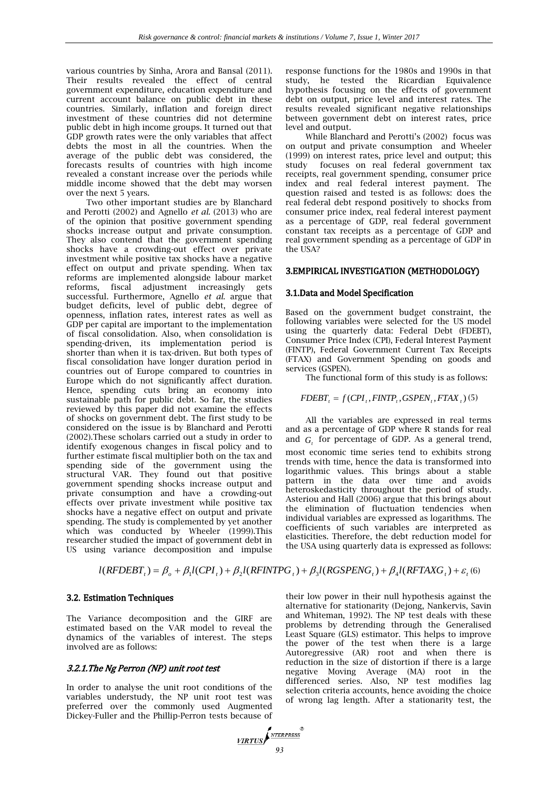various countries by Sinha, Arora and Bansal (2011). Their results revealed the effect of central government expenditure, education expenditure and current account balance on public debt in these countries. Similarly, inflation and foreign direct investment of these countries did not determine public debt in high income groups. It turned out that GDP growth rates were the only variables that affect debts the most in all the countries. When the average of the public debt was considered, the forecasts results of countries with high income revealed a constant increase over the periods while middle income showed that the debt may worsen over the next 5 years.

Two other important studies are by Blanchard and Perotti (2002) and Agnello *et al.* (2013) who are of the opinion that positive government spending shocks increase output and private consumption. They also contend that the government spending shocks have a crowding-out effect over private investment while positive tax shocks have a negative effect on output and private spending. When tax reforms are implemented alongside labour market reforms, fiscal adjustment increasingly gets successful. Furthermore, Agnello *et al*. argue that budget deficits, level of public debt, degree of openness, inflation rates, interest rates as well as GDP per capital are important to the implementation of fiscal consolidation. Also, when consolidation is spending-driven, its implementation period is shorter than when it is tax-driven. But both types of fiscal consolidation have longer duration period in countries out of Europe compared to countries in Europe which do not significantly affect duration. Hence, spending cuts bring an economy into sustainable path for public debt. So far, the studies reviewed by this paper did not examine the effects of shocks on government debt. The first study to be considered on the issue is by Blanchard and Perotti (2002).These scholars carried out a study in order to identify exogenous changes in fiscal policy and to further estimate fiscal multiplier both on the tax and spending side of the government using the structural VAR. They found out that positive government spending shocks increase output and private consumption and have a crowding-out effects over private investment while positive tax shocks have a negative effect on output and private spending. The study is complemented by yet another which was conducted by Wheeler (1999).This researcher studied the impact of government debt in US using variance decomposition and impulse

response functions for the 1980s and 1990s in that study, he tested the Ricardian Equivalence hypothesis focusing on the effects of government debt on output, price level and interest rates. The results revealed significant negative relationships between government debt on interest rates, price level and output.

While Blanchard and Perotti's (2002) focus was on output and private consumption and Wheeler (1999) on interest rates, price level and output; this study focuses on real federal government tax receipts, real government spending, consumer price index and real federal interest payment. The question raised and tested is as follows: does the real federal debt respond positively to shocks from consumer price index, real federal interest payment as a percentage of GDP, real federal government constant tax receipts as a percentage of GDP and real government spending as a percentage of GDP in the USA?

# 3.EMPIRICAL INVESTIGATION (METHODOLOGY)

## 3.1.Data and Model Specification

Based on the government budget constraint, the following variables were selected for the US model using the quarterly data: Federal Debt (FDEBT), Consumer Price Index (CPI), Federal Interest Payment (FINTP), Federal Government Current Tax Receipts (FTAX) and Government Spending on goods and services (GSPEN).

The functional form of this study is as follows:

 $FDEBT_t = f(CPI_t, FINTP_t, GSPEN_t, FTAX_t)$  (5)

All the variables are expressed in real terms and as a percentage of GDP where R stands for real and  $G<sub>t</sub>$  for percentage of GDP. As a general trend,

most economic time series tend to exhibits strong trends with time, hence the data is transformed into logarithmic values. This brings about a stable pattern in the data over time and avoids heteroskedasticity throughout the period of study. Asteriou and Hall (2006) argue that this brings about the elimination of fluctuation tendencies when individual variables are expressed as logarithms. The coefficients of such variables are interpreted as elasticities. Therefore, the debt reduction model for the USA using quarterly data is expressed as follows:

# $l(RFDEBT_{i}) = \beta_{o} + \beta_{1}l(CPI_{i}) + \beta_{2}l(RFINTPG_{i}) + \beta_{3}l(RGSPENG_{i}) + \beta_{4}l(RFTAXG_{i}) + \varepsilon_{i}$  (6)

## 3.2. Estimation Techniques

The Variance decomposition and the GIRF are estimated based on the VAR model to reveal the dynamics of the variables of interest. The steps involved are as follows:

# 3.2.1.The Ng Perron (NP) unit root test

In order to analyse the unit root conditions of the variables understudy, the NP unit root test was preferred over the commonly used Augmented Dickey-Fuller and the Phillip-Perron tests because of their low power in their null hypothesis against the alternative for stationarity (Dejong, Nankervis, Savin and Whiteman, 1992). The NP test deals with these problems by detrending through the Generalised Least Square (GLS) estimator. This helps to improve the power of the test when there is a large Autoregressive (AR) root and when there is reduction in the size of distortion if there is a large negative Moving Average (MA) root in the differenced series. Also, NP test modifies lag selection criteria accounts, hence avoiding the choice of wrong lag length. After a stationarity test, the

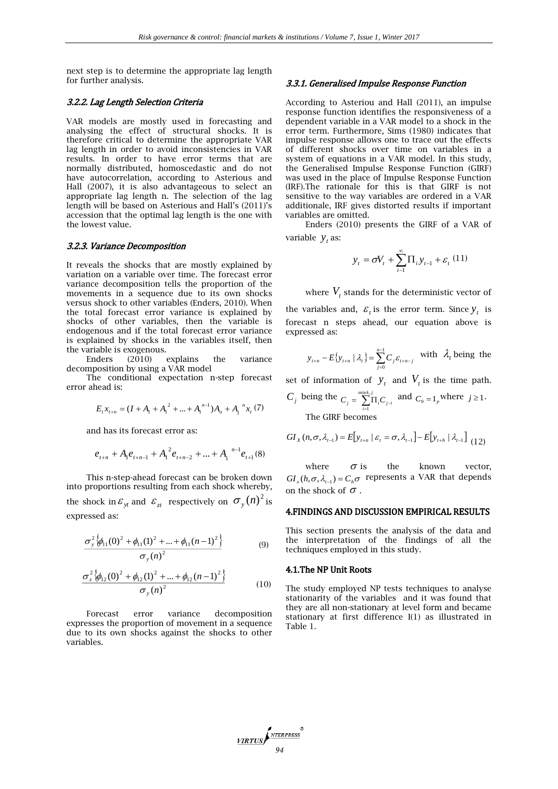next step is to determine the appropriate lag length for further analysis.

#### 3.2.2. Lag Length Selection Criteria

VAR models are mostly used in forecasting and analysing the effect of structural shocks. It is therefore critical to determine the appropriate VAR lag length in order to avoid inconsistencies in VAR results. In order to have error terms that are normally distributed, homoscedastic and do not have autocorrelation, according to Asterious and Hall (2007), it is also advantageous to select an appropriate lag length n. The selection of the lag length will be based on Asterious and Hall's (2011)'s accession that the optimal lag length is the one with the lowest value.

#### 3.2.3. Variance Decomposition

It reveals the shocks that are mostly explained by variation on a variable over time. The forecast error variance decomposition tells the proportion of the movements in a sequence due to its own shocks versus shock to other variables (Enders, 2010). When the total forecast error variance is explained by shocks of other variables, then the variable is endogenous and if the total forecast error variance is explained by shocks in the variables itself, then the variable is exogenous.

Enders (2010) explains the variance decomposition by using a VAR model

The conditional expectation n-step forecast error ahead is:

$$
E_{i}x_{i+n} = (I + A_{1} + A_{1}^{2} + ... + A_{1}^{n-1})A_{o} + A_{1}^{n}x_{i}
$$
 (7)

and has its forecast error as:

$$
e_{t+n} + A_1 e_{t+n-1} + A_1^2 e_{t+n-2} + ... + A_1^{n-1} e_{t+1}
$$
 (8)

This n-step-ahead forecast can be broken down into proportions resulting from each shock whereby, the shock in  $\varepsilon_{y}$  and  $\varepsilon_{zt}$  respectively on  $\sigma_{y}(n)^{2}$  is expressed as:

$$
\frac{\sigma_{y}^{2}\left\{\phi_{11}(0)^{2} + \phi_{11}(1)^{2} + \ldots + \phi_{11}(n-1)^{2}\right\}}{\sigma_{y}(n)^{2}}
$$
\n(9)

$$
\frac{\sigma_z^2 \left\{ \phi_{12}(0)^2 + \phi_{12}(1)^2 + \dots + \phi_{12}(n-1)^2 \right\}}{\sigma_y(n)^2}
$$
\n(10)

Forecast error variance decomposition expresses the proportion of movement in a sequence due to its own shocks against the shocks to other variables.

#### 3.3.1. Generalised Impulse Response Function

According to Asteriou and Hall (2011), an impulse response function identifies the responsiveness of a dependent variable in a VAR model to a shock in the error term. Furthermore, Sims (1980) indicates that impulse response allows one to trace out the effects of different shocks over time on variables in a system of equations in a VAR model. In this study, the Generalised Impulse Response Function (GIRF) was used in the place of Impulse Response Function (IRF).The rationale for this is that GIRF is not sensitive to the way variables are ordered in a VAR additionale, IRF gives distorted results if important variables are omitted.

Enders (2010) presents the GIRF of a VAR of variable  $y_t$  as:

$$
y_{t} = \sigma V_{t} + \sum_{i=1}^{\infty} \prod_{i} y_{t-1} + \varepsilon_{t} (11)
$$

where  $V_t$  stands for the deterministic vector of

the variables and,  $\varepsilon$ <sub>t</sub> is the error term. Since  $y_t$  is forecast n steps ahead, our equation above is expressed as:

$$
y_{t+n} - E\{y_{t+n} | \lambda_t\} = \sum_{j=0}^{n-1} C_j \varepsilon_{t+n-j} \text{ with } \lambda_t \text{ being the}
$$

set of information of  $y_t$  and  $V_t$  is the time path.

$$
C_j
$$
 being the  $C_j = \sum_{i=1}^{\min k, j} \prod_i C_{j-i}$  and  $C_0 = 1_p$  where  $j \ge 1$ .  
The GIRF becomes

$$
GI_{X}(n, \sigma, \lambda_{t-1}) = E[y_{t+n} | \varepsilon_{t} = \sigma, \lambda_{t-1}] - E[y_{t+h} | \lambda_{t-1}] \tag{12}
$$

where  $\sigma$  is the known vector,  $GI_x(h,\sigma,\lambda_{t-1}) = C_h\sigma$  represents a VAR that depends on the shock of  $\sigma$  .  $\sigma$  is

## 4.FINDINGS AND DISCUSSION EMPIRICAL RESULTS

This section presents the analysis of the data and the interpretation of the findings of all the techniques employed in this study.

#### 4.1.The NP Unit Roots

The study employed NP tests techniques to analyse stationarity of the variables and it was found that they are all non-stationary at level form and became stationary at first difference I(1) as illustrated in Table 1.

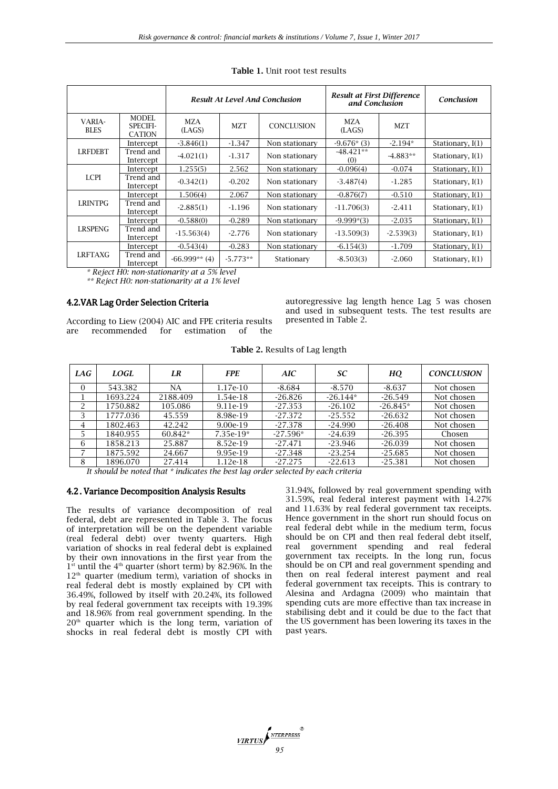|                       |                                                                                                                                                                                                                                                                                                                                                                                                                                                                                                                         | <b>Result At Level And Conclusion</b> |            |                   | <b>Result at First Difference</b><br>and Conclusion |             | Conclusion       |
|-----------------------|-------------------------------------------------------------------------------------------------------------------------------------------------------------------------------------------------------------------------------------------------------------------------------------------------------------------------------------------------------------------------------------------------------------------------------------------------------------------------------------------------------------------------|---------------------------------------|------------|-------------------|-----------------------------------------------------|-------------|------------------|
| VARIA-<br><b>BLES</b> | <b>MODEL</b><br><b>SPECIFI-</b><br>CATION                                                                                                                                                                                                                                                                                                                                                                                                                                                                               | <b>MZA</b><br>(LAGS)                  | <b>MZT</b> | <b>CONCLUSION</b> | <b>MZA</b><br>(LAGS)                                | <b>MZT</b>  |                  |
|                       | Intercept                                                                                                                                                                                                                                                                                                                                                                                                                                                                                                               | $-3.846(1)$                           | $-1.347$   | Non stationary    | $-9.676*(3)$                                        | $-2.194*$   | Stationary, I(1) |
| <b>LRFDEBT</b>        | Trend and<br>Intercept                                                                                                                                                                                                                                                                                                                                                                                                                                                                                                  | $-4.021(1)$                           | $-1.317$   | Non stationary    | $-48.421**$<br>(0)                                  | $-4.883**$  | Stationary, I(1) |
| <b>LCPI</b>           | Intercept                                                                                                                                                                                                                                                                                                                                                                                                                                                                                                               | 1.255(5)                              | 2.562      | Non stationary    | $-0.096(4)$                                         | $-0.074$    | Stationary, I(1) |
|                       | Trend and<br>Intercept                                                                                                                                                                                                                                                                                                                                                                                                                                                                                                  | $-0.342(1)$                           | $-0.202$   | Non stationary    | $-3.487(4)$                                         | $-1.285$    | Stationary, I(1) |
| <b>LRINTPG</b>        | Intercept                                                                                                                                                                                                                                                                                                                                                                                                                                                                                                               | 1.506(4)                              | 2.067      | Non stationary    | $-0.876(7)$                                         | $-0.510$    | Stationary, I(1) |
|                       | Trend and<br>Intercept                                                                                                                                                                                                                                                                                                                                                                                                                                                                                                  | $-2.885(1)$                           | $-1.196$   | Non stationary    | $-11,706(3)$                                        | $-2.411$    | Stationary, I(1) |
| <b>LRSPENG</b>        | Intercept                                                                                                                                                                                                                                                                                                                                                                                                                                                                                                               | $-0.588(0)$                           | $-0.289$   | Non stationary    | $-9.999*(3)$                                        | $-2.035$    | Stationary, I(1) |
|                       | Trend and<br>Intercept                                                                                                                                                                                                                                                                                                                                                                                                                                                                                                  | $-15.563(4)$                          | $-2.776$   | Non stationary    | $-13.509(3)$                                        | $-2.539(3)$ | Stationary, I(1) |
| <b>LRFTAXG</b>        | Intercept                                                                                                                                                                                                                                                                                                                                                                                                                                                                                                               | $-0.543(4)$                           | $-0.283$   | Non stationary    | $-6.154(3)$                                         | $-1.709$    | Stationary, I(1) |
|                       | Trend and<br>Intercept<br>$\therefore$ $\blacksquare$ $\blacksquare$ $\blacksquare$ $\blacksquare$ $\blacksquare$ $\blacksquare$ $\blacksquare$ $\blacksquare$ $\blacksquare$ $\blacksquare$ $\blacksquare$ $\blacksquare$ $\blacksquare$ $\blacksquare$ $\blacksquare$ $\blacksquare$ $\blacksquare$ $\blacksquare$ $\blacksquare$ $\blacksquare$ $\blacksquare$ $\blacksquare$ $\blacksquare$ $\blacksquare$ $\blacksquare$ $\blacksquare$ $\blacksquare$ $\blacksquare$ $\blacksquare$ $\blacksquare$ $\blacksquare$ | $-66.999**$ (4)                       | $-5.773**$ | Stationary        | $-8.503(3)$                                         | $-2.060$    | Stationary, I(1) |

| <b>Table 1.</b> Unit root test results |
|----------------------------------------|
|----------------------------------------|

*\* Reject H0: non-stationarity at a 5% level* 

*\*\* Reject H0: non-stationarity at a 1% level*

## 4.2.VAR Lag Order Selection Criteria

According to Liew (2004) AIC and FPE criteria results are recommended for estimation of the

autoregressive lag length hence Lag 5 was chosen and used in subsequent tests. The test results are presented in Table 2.

| <b>Table 2. Results of Lag length</b> |  |
|---------------------------------------|--|
|---------------------------------------|--|

| LAG      | LOGL     | LR       | <b>FPE</b>  | AIC        | SC         | HQ         | <b>CONCLUSION</b> |
|----------|----------|----------|-------------|------------|------------|------------|-------------------|
| $\Omega$ | 543.382  | NA       | $1.17e-10$  | $-8.684$   | $-8.570$   | $-8.637$   | Not chosen        |
|          | 1693.224 | 2188.409 | 1.54e-18    | $-26.826$  | $-26.144*$ | $-26.549$  | Not chosen        |
| 2        | 1750.882 | 105.086  | 9.11e-19    | $-27.353$  | $-26.102$  | $-26.845*$ | Not chosen        |
| 3        | 1777.036 | 45.559   | 8.98e-19    | $-27.372$  | $-25.552$  | $-26.632$  | Not chosen        |
| 4        | 1802.463 | 42.242   | 9.00e-19    | $-27.378$  | $-24.990$  | $-26.408$  | Not chosen        |
| 5        | 1840.955 | 60.842*  | $7.35e-19*$ | $-27.596*$ | -24.639    | $-26.395$  | Chosen            |
| 6        | 1858.213 | 25.887   | 8.52e-19    | $-27.471$  | -23.946    | $-26.039$  | Not chosen        |
|          | 1875.592 | 24.667   | 9.95e-19    | $-27.348$  | $-23.254$  | $-25.685$  | Not chosen        |
| 8        | 1896.070 | 27.414   | 1.12e-18    | $-27.275$  | $-22.613$  | $-25.381$  | Not chosen        |

*It should be noted that \* indicates the best lag order selected by each criteria*

#### 4.2. Variance Decomposition Analysis Results

The results of variance decomposition of real federal, debt are represented in Table 3. The focus of interpretation will be on the dependent variable (real federal debt) over twenty quarters. High variation of shocks in real federal debt is explained by their own innovations in the first year from the  $1<sup>st</sup>$  until the  $4<sup>th</sup>$  quarter (short term) by 82.96%. In the  $12<sup>th</sup>$  quarter (medium term), variation of shocks in real federal debt is mostly explained by CPI with 36.49%, followed by itself with 20.24%, its followed by real federal government tax receipts with 19.39% and 18.96% from real government spending. In the 20<sup>th</sup> quarter which is the long term, variation of shocks in real federal debt is mostly CPI with

31.94%, followed by real government spending with 31.59%, real federal interest payment with 14.27% and 11.63% by real federal government tax receipts. Hence government in the short run should focus on real federal debt while in the medium term, focus should be on CPI and then real federal debt itself, real government spending and real federal government tax receipts. In the long run, focus should be on CPI and real government spending and then on real federal interest payment and real federal government tax receipts. This is contrary to Alesina and Ardagna (2009) who maintain that spending cuts are more effective than tax increase in stabilising debt and it could be due to the fact that the US government has been lowering its taxes in the past years.

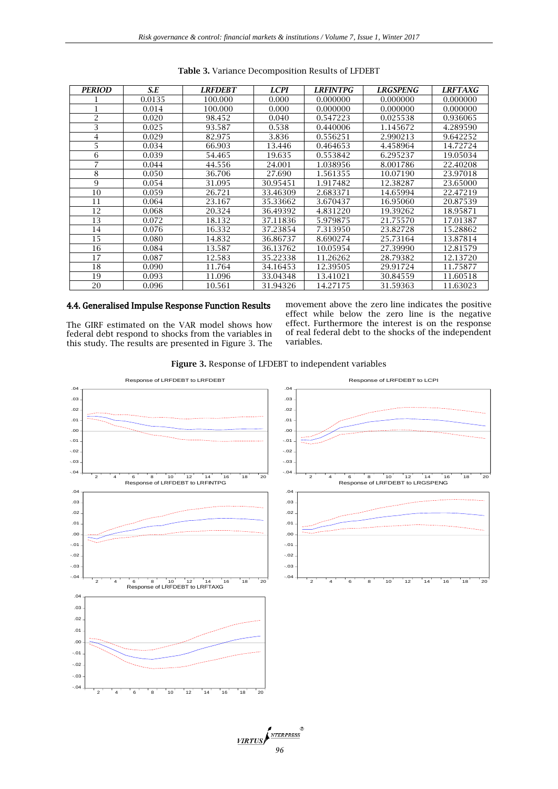| <b>PERIOD</b>  | S.E    | <b>LRFDEBT</b> | <b>LCPI</b> | <b>LRFINTPG</b> | <b>LRGSPENG</b> | <b>LRFTAXG</b> |
|----------------|--------|----------------|-------------|-----------------|-----------------|----------------|
|                | 0.0135 | 100.000        | 0.000       | 0.000000        | 0.000000        | 0.000000       |
|                | 0.014  | 100.000        | 0.000       | 0.000000        | 0.000000        | 0.000000       |
| $\overline{2}$ | 0.020  | 98.452         | 0.040       | 0.547223        | 0.025538        | 0.936065       |
| 3              | 0.025  | 93.587         | 0.538       | 0.440006        | 1.145672        | 4.289590       |
| 4              | 0.029  | 82.975         | 3.836       | 0.556251        | 2.990213        | 9.642252       |
| 5              | 0.034  | 66.903         | 13.446      | 0.464653        | 4.458964        | 14.72724       |
| 6              | 0.039  | 54.465         | 19.635      | 0.553842        | 6.295237        | 19.05034       |
| 7              | 0.044  | 44.556         | 24.001      | 1.038956        | 8.001786        | 22.40208       |
| 8              | 0.050  | 36.706         | 27.690      | 1.561355        | 10.07190        | 23.97018       |
| 9              | 0.054  | 31.095         | 30.95451    | 1.917482        | 12.38287        | 23.65000       |
| 10             | 0.059  | 26.721         | 33.46309    | 2.683371        | 14.65994        | 22.47219       |
| 11             | 0.064  | 23.167         | 35.33662    | 3.670437        | 16.95060        | 20.87539       |
| 12             | 0.068  | 20.324         | 36.49392    | 4.831220        | 19.39262        | 18.95871       |
| 13             | 0.072  | 18.132         | 37.11836    | 5.979875        | 21.75570        | 17.01387       |
| 14             | 0.076  | 16.332         | 37.23854    | 7.313950        | 23.82728        | 15.28862       |
| 15             | 0.080  | 14.832         | 36.86737    | 8.690274        | 25.73164        | 13.87814       |
| 16             | 0.084  | 13.587         | 36.13762    | 10.05954        | 27.39990        | 12.81579       |
| 17             | 0.087  | 12.583         | 35.22338    | 11.26262        | 28.79382        | 12.13720       |
| 18             | 0.090  | 11.764         | 34.16453    | 12.39505        | 29.91724        | 11.75877       |
| 19             | 0.093  | 11.096         | 33.04348    | 13.41021        | 30.84559        | 11.60518       |
| 20             | 0.096  | 10.561         | 31.94326    | 14.27175        | 31.59363        | 11.63023       |

**Table 3.** Variance Decomposition Results of LFDEBT

# 4.4. Generalised Impulse Response Function Results

The GIRF estimated on the VAR model shows how federal debt respond to shocks from the variables in this study. The results are presented in Figure 3. The movement above the zero line indicates the positive effect while below the zero line is the negative effect. Furthermore the interest is on the response of real federal debt to the shocks of the independent variables.

**Figure 3.** Response of LFDEBT to independent variables

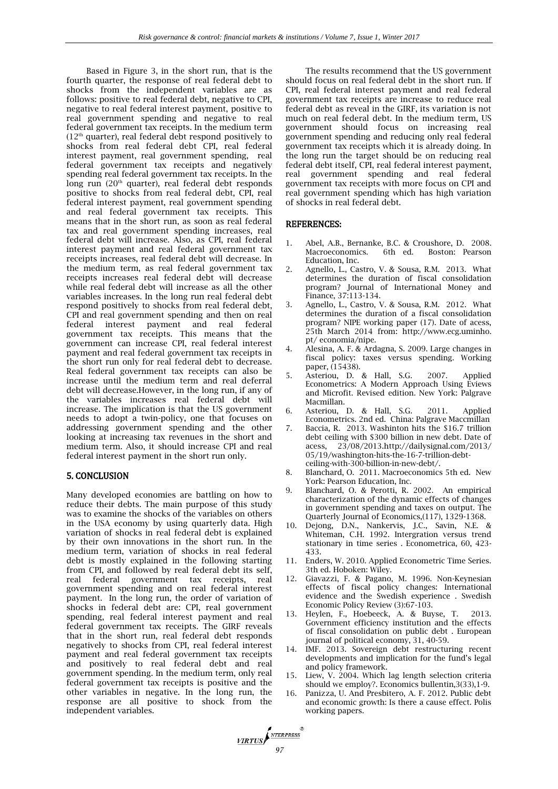Based in Figure 3, in the short run, that is the fourth quarter, the response of real federal debt to shocks from the independent variables are as follows: positive to real federal debt, negative to CPI, negative to real federal interest payment, positive to real government spending and negative to real federal government tax receipts. In the medium term  $(12<sup>th</sup>$  quarter), real federal debt respond positively to shocks from real federal debt CPI, real federal interest payment, real government spending, real federal government tax receipts and negatively spending real federal government tax receipts. In the long run  $(20<sup>th</sup>$  quarter), real federal debt responds positive to shocks from real federal debt, CPI, real federal interest payment, real government spending and real federal government tax receipts. This means that in the short run, as soon as real federal tax and real government spending increases, real federal debt will increase. Also, as CPI, real federal interest payment and real federal government tax receipts increases, real federal debt will decrease. In the medium term, as real federal government tax receipts increases real federal debt will decrease while real federal debt will increase as all the other variables increases. In the long run real federal debt respond positively to shocks from real federal debt, CPI and real government spending and then on real federal interest payment and real federal government tax receipts. This means that the government can increase CPI, real federal interest payment and real federal government tax receipts in the short run only for real federal debt to decrease. Real federal government tax receipts can also be increase until the medium term and real deferral debt will decrease.However, in the long run, if any of the variables increases real federal debt will increase. The implication is that the US government needs to adopt a twin-policy, one that focuses on addressing government spending and the other looking at increasing tax revenues in the short and medium term. Also, it should increase CPI and real federal interest payment in the short run only.

# 5. CONCLUSION

Many developed economies are battling on how to reduce their debts. The main purpose of this study was to examine the shocks of the variables on others in the USA economy by using quarterly data. High variation of shocks in real federal debt is explained by their own innovations in the short run. In the medium term, variation of shocks in real federal debt is mostly explained in the following starting from CPI, and followed by real federal debt its self, real federal government tax receipts, real government spending and on real federal interest payment. In the long run, the order of variation of shocks in federal debt are: CPI, real government spending, real federal interest payment and real federal government tax receipts. The GIRF reveals that in the short run, real federal debt responds negatively to shocks from CPI, real federal interest payment and real federal government tax receipts and positively to real federal debt and real government spending. In the medium term, only real federal government tax receipts is positive and the other variables in negative. In the long run, the response are all positive to shock from the independent variables.

**VIRTUS** 

The results recommend that the US government should focus on real federal debt in the short run. If CPI, real federal interest payment and real federal government tax receipts are increase to reduce real federal debt as reveal in the GIRF, its variation is not much on real federal debt. In the medium term, US government should focus on increasing real government spending and reducing only real federal government tax receipts which it is already doing. In the long run the target should be on reducing real federal debt itself, CPI, real federal interest payment, real government spending and real federal government tax receipts with more focus on CPI and real government spending which has high variation of shocks in real federal debt.

## REFERENCES:

- 1. Abel, A.B., Bernanke, B.C. & Croushore, D. 2008. Macroeconomics. 6th ed. Boston: Pearson Education, Inc.
- 2. Agnello, L., Castro, V. & Sousa, R.M. 2013. What determines the duration of fiscal consolidation program? Journal of International Money and Finance, 37:113-134.
- 3. Agnello, L., Castro, V. & Sousa, R.M. 2012. What determines the duration of a fiscal consolidation program? NIPE working paper (17). Date of acess, 25th March 2014 from: [http://www.ecg.uminho.](http://www.ecg.uminho/)  pt/ economia/nipe.
- 4. Alesina, A. F. & Ardagna, S. 2009. Large changes in fiscal policy: taxes versus spending. Working paper, (15438).
- 5. Asteriou, D. & Hall, S.G. 2007. Applied Econometrics: A Modern Approach Using Eviews and Microfit. Revised edition. New York: Palgrave Macmillan.
- 6. Asteriou, D. & Hall, S.G. 2011. Applied Econometrics. 2nd ed. China: Palgrave Maccmillan
- 7. Baccia, R. 2013. Washinton hits the \$16.7 trillion debt ceiling with \$300 billion in new debt. Date of acess, 23/08/201[3.http://dailysignal.com/2013/](http://dailysignal.com/2013/%2005/19/washington-hits-the-16-7-trillion-debt-ceiling-with-300-billion-in-new-debt/)  [05/19/washington-hits-the-16-7-trillion-debt](http://dailysignal.com/2013/%2005/19/washington-hits-the-16-7-trillion-debt-ceiling-with-300-billion-in-new-debt/)[ceiling-with-300-billion-in-new-debt/.](http://dailysignal.com/2013/%2005/19/washington-hits-the-16-7-trillion-debt-ceiling-with-300-billion-in-new-debt/)
- 8. Blanchard, O. 2011. Macroeconomics 5th ed. New York: Pearson Education, Inc.
- 9. Blanchard, O. & Perotti, R. 2002. An empirical characterization of the dynamic effects of changes in government spending and taxes on output. The Quarterly Journal of Economics,(117), 1329-1368.
- 10. Dejong, D.N., Nankervis, J.C., Savin, N.E. & Whiteman, C.H. 1992. Intergration versus trend stationary in time series . Econometrica, 60, 423- 433.
- 11. Enders, W. 2010. Applied Econometric Time Series. 3th ed. Hoboken: Wiley.
- 12. Giavazzi, F. & Pagano, M. 1996. Non-Keynesian effects of fiscal policy changes: International evidence and the Swedish experience . Swedish Economic Policy Review (3):67-103.
- 13. Heylen, F., Hoebeeck, A. & Buyse, T. 2013. Government efficiency institution and the effects of fiscal consolidation on public debt . European journal of political economy, 31, 40-59.
- 14. IMF. 2013. Sovereign debt restructuring recent developments and implication for the fund's legal and policy framework.
- 15. Liew, V. 2004. Which lag length selection criteria should we employ?. Economics bullentin,3(33),1-9.
- 16. Panizza, U. And Presbitero, A. F. 2012. Public debt and economic growth: Is there a cause effect. Polis working papers.